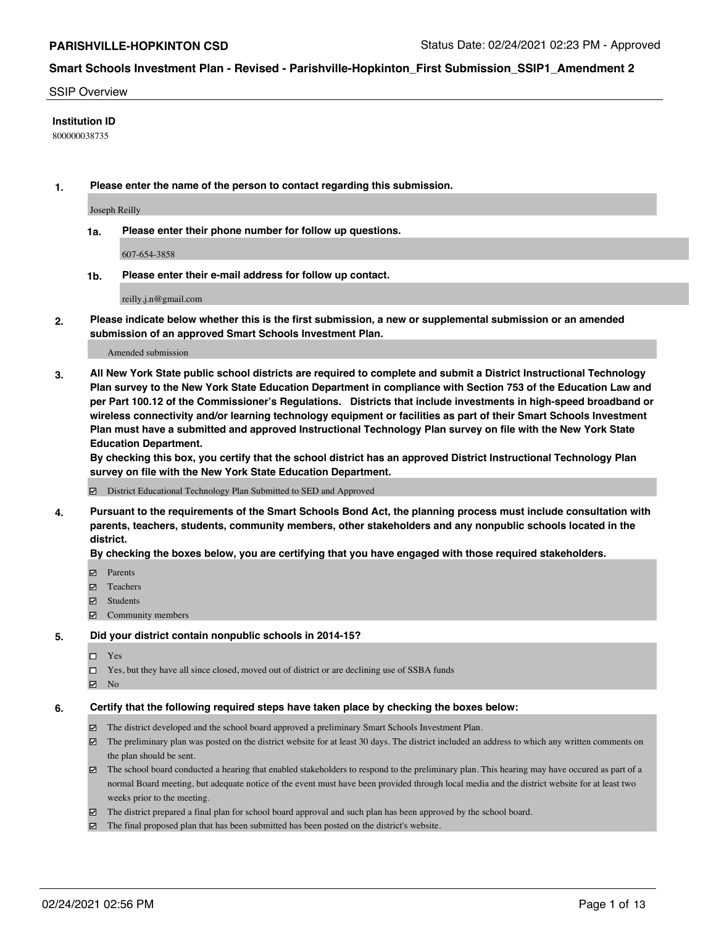#### SSIP Overview

### **Institution ID**

800000038735

**1. Please enter the name of the person to contact regarding this submission.**

Joseph Reilly

**1a. Please enter their phone number for follow up questions.**

607-654-3858

**1b. Please enter their e-mail address for follow up contact.**

reilly.j.n@gmail.com

**2. Please indicate below whether this is the first submission, a new or supplemental submission or an amended submission of an approved Smart Schools Investment Plan.**

#### Amended submission

**3. All New York State public school districts are required to complete and submit a District Instructional Technology Plan survey to the New York State Education Department in compliance with Section 753 of the Education Law and per Part 100.12 of the Commissioner's Regulations. Districts that include investments in high-speed broadband or wireless connectivity and/or learning technology equipment or facilities as part of their Smart Schools Investment Plan must have a submitted and approved Instructional Technology Plan survey on file with the New York State Education Department.** 

**By checking this box, you certify that the school district has an approved District Instructional Technology Plan survey on file with the New York State Education Department.**

District Educational Technology Plan Submitted to SED and Approved

**4. Pursuant to the requirements of the Smart Schools Bond Act, the planning process must include consultation with parents, teachers, students, community members, other stakeholders and any nonpublic schools located in the district.** 

#### **By checking the boxes below, you are certifying that you have engaged with those required stakeholders.**

- **Ø** Parents
- **☑** Teachers
- Students
- $\Xi$  Community members

#### **5. Did your district contain nonpublic schools in 2014-15?**

- □ Yes
- □ Yes, but they have all since closed, moved out of district or are declining use of SSBA funds
- **Ø** No

## **6. Certify that the following required steps have taken place by checking the boxes below:**

- The district developed and the school board approved a preliminary Smart Schools Investment Plan.
- The preliminary plan was posted on the district website for at least 30 days. The district included an address to which any written comments on the plan should be sent.
- The school board conducted a hearing that enabled stakeholders to respond to the preliminary plan. This hearing may have occured as part of a normal Board meeting, but adequate notice of the event must have been provided through local media and the district website for at least two weeks prior to the meeting.
- The district prepared a final plan for school board approval and such plan has been approved by the school board.
- $\boxtimes$  The final proposed plan that has been submitted has been posted on the district's website.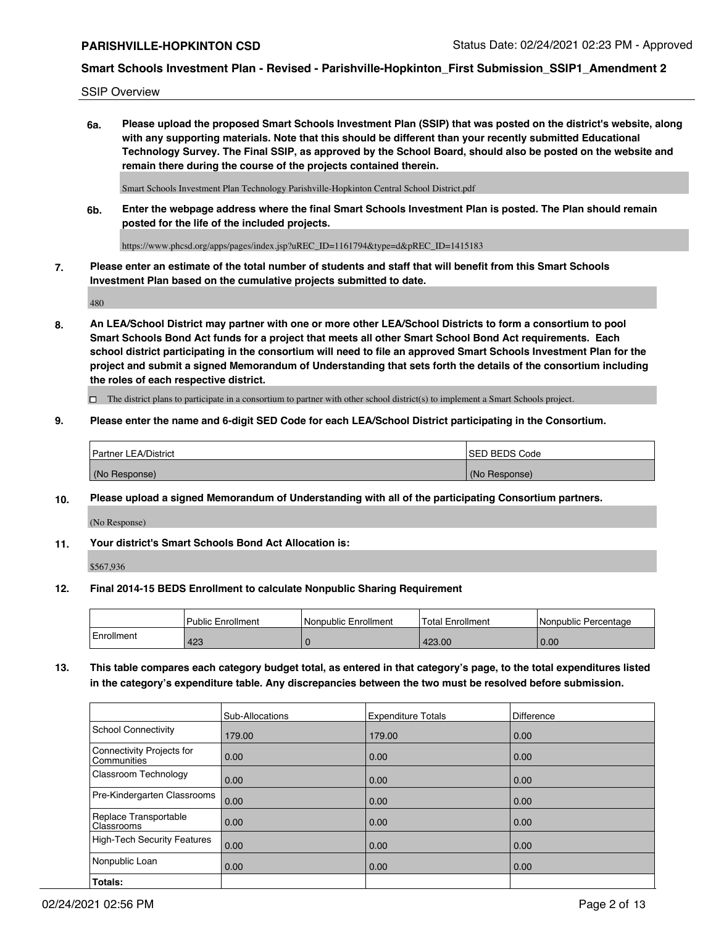SSIP Overview

**6a. Please upload the proposed Smart Schools Investment Plan (SSIP) that was posted on the district's website, along with any supporting materials. Note that this should be different than your recently submitted Educational Technology Survey. The Final SSIP, as approved by the School Board, should also be posted on the website and remain there during the course of the projects contained therein.**

Smart Schools Investment Plan Technology Parishville-Hopkinton Central School District.pdf

**6b. Enter the webpage address where the final Smart Schools Investment Plan is posted. The Plan should remain posted for the life of the included projects.**

https://www.phcsd.org/apps/pages/index.jsp?uREC\_ID=1161794&type=d&pREC\_ID=1415183

**7. Please enter an estimate of the total number of students and staff that will benefit from this Smart Schools Investment Plan based on the cumulative projects submitted to date.**

480

**8. An LEA/School District may partner with one or more other LEA/School Districts to form a consortium to pool Smart Schools Bond Act funds for a project that meets all other Smart School Bond Act requirements. Each school district participating in the consortium will need to file an approved Smart Schools Investment Plan for the project and submit a signed Memorandum of Understanding that sets forth the details of the consortium including the roles of each respective district.**

 $\Box$  The district plans to participate in a consortium to partner with other school district(s) to implement a Smart Schools project.

## **9. Please enter the name and 6-digit SED Code for each LEA/School District participating in the Consortium.**

| Partner LEA/District | <b>ISED BEDS Code</b> |
|----------------------|-----------------------|
| (No Response)        | (No Response)         |

## **10. Please upload a signed Memorandum of Understanding with all of the participating Consortium partners.**

(No Response)

**11. Your district's Smart Schools Bond Act Allocation is:**

\$567,936

#### **12. Final 2014-15 BEDS Enrollment to calculate Nonpublic Sharing Requirement**

|            | Public Enrollment | Nonpublic Enrollment | Total Enrollment | I Nonpublic Percentage |
|------------|-------------------|----------------------|------------------|------------------------|
| Enrollment | 423               |                      | 423.00           | 0.00                   |

**13. This table compares each category budget total, as entered in that category's page, to the total expenditures listed in the category's expenditure table. Any discrepancies between the two must be resolved before submission.**

|                                          | Sub-Allocations | <b>Expenditure Totals</b> | <b>Difference</b> |
|------------------------------------------|-----------------|---------------------------|-------------------|
| <b>School Connectivity</b>               | 179.00          | 179.00                    | 0.00              |
| Connectivity Projects for<br>Communities | 0.00            | 0.00                      | 0.00              |
| Classroom Technology                     | 0.00            | 0.00                      | 0.00              |
| Pre-Kindergarten Classrooms              | 0.00            | 0.00                      | 0.00              |
| Replace Transportable<br>Classrooms      | 0.00            | 0.00                      | 0.00              |
| High-Tech Security Features              | 0.00            | 0.00                      | 0.00              |
| Nonpublic Loan                           | 0.00            | 0.00                      | 0.00              |
| Totals:                                  |                 |                           |                   |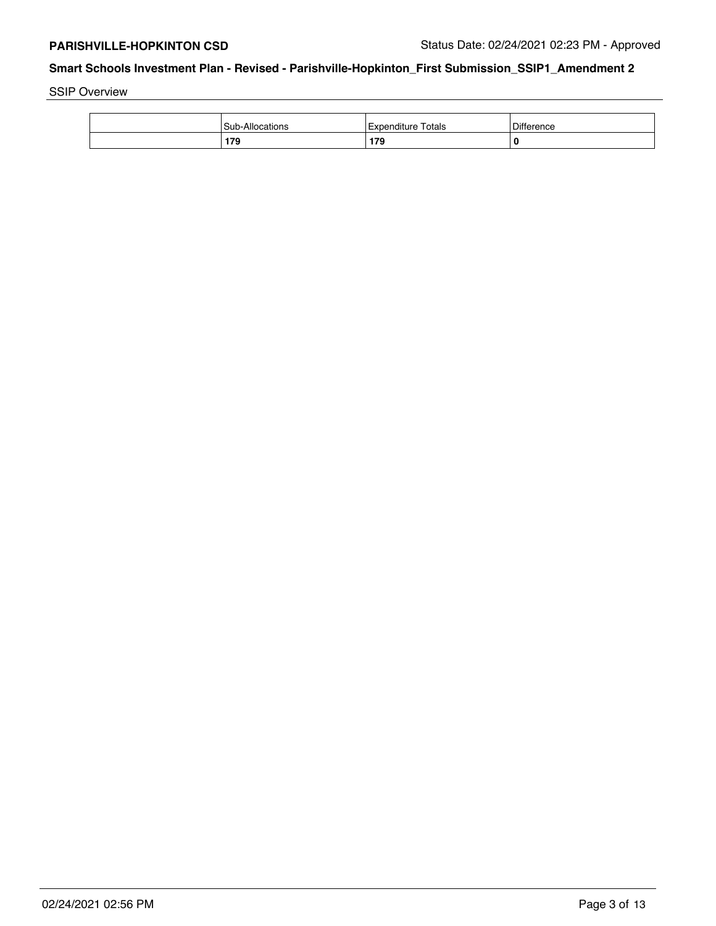SSIP Overview

| Sub-Allo  | Totals             | $\mathbf{r}$ |
|-----------|--------------------|--------------|
| cations   | <i>Expenditure</i> | Difference   |
| 179<br>__ | 179                |              |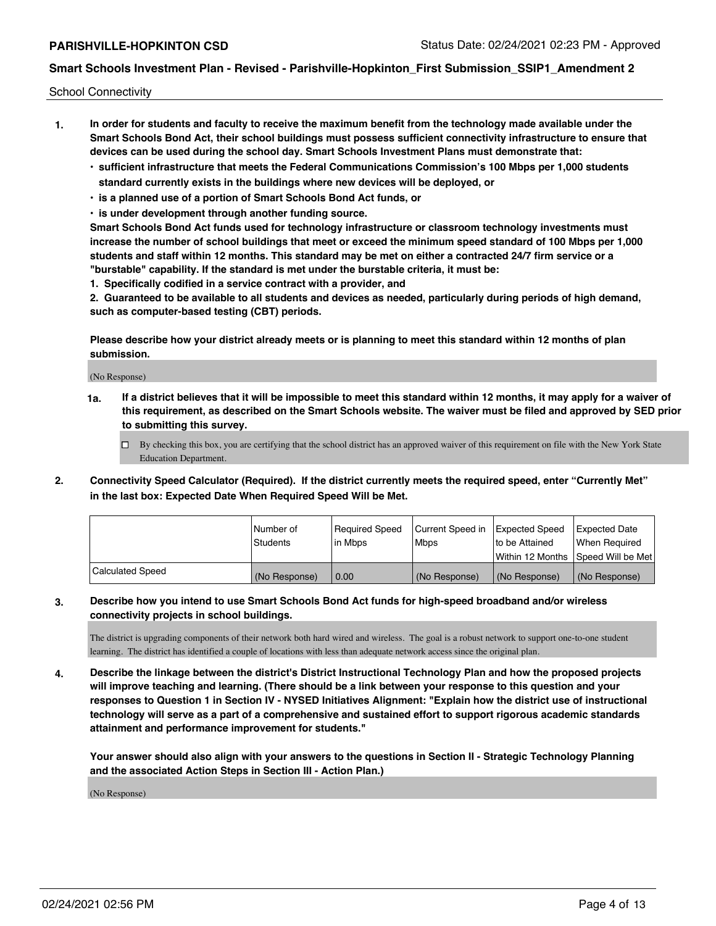School Connectivity

- **1. In order for students and faculty to receive the maximum benefit from the technology made available under the Smart Schools Bond Act, their school buildings must possess sufficient connectivity infrastructure to ensure that devices can be used during the school day. Smart Schools Investment Plans must demonstrate that:**
	- **• sufficient infrastructure that meets the Federal Communications Commission's 100 Mbps per 1,000 students standard currently exists in the buildings where new devices will be deployed, or**
	- **• is a planned use of a portion of Smart Schools Bond Act funds, or**
	- **• is under development through another funding source.**

**Smart Schools Bond Act funds used for technology infrastructure or classroom technology investments must increase the number of school buildings that meet or exceed the minimum speed standard of 100 Mbps per 1,000 students and staff within 12 months. This standard may be met on either a contracted 24/7 firm service or a "burstable" capability. If the standard is met under the burstable criteria, it must be:**

**1. Specifically codified in a service contract with a provider, and**

**2. Guaranteed to be available to all students and devices as needed, particularly during periods of high demand, such as computer-based testing (CBT) periods.**

**Please describe how your district already meets or is planning to meet this standard within 12 months of plan submission.**

(No Response)

**1a. If a district believes that it will be impossible to meet this standard within 12 months, it may apply for a waiver of this requirement, as described on the Smart Schools website. The waiver must be filed and approved by SED prior to submitting this survey.**

 $\Box$  By checking this box, you are certifying that the school district has an approved waiver of this requirement on file with the New York State Education Department.

**2. Connectivity Speed Calculator (Required). If the district currently meets the required speed, enter "Currently Met" in the last box: Expected Date When Required Speed Will be Met.**

|                  | l Number of   | Reauired Speed | Current Speed in | Expected Speed | Expected Date                        |
|------------------|---------------|----------------|------------------|----------------|--------------------------------------|
|                  | Students      | l in Mbps      | l Mbps           | to be Attained | When Required                        |
|                  |               |                |                  |                | Within 12 Months   Speed Will be Met |
| Calculated Speed | (No Response) | 0.00           | (No Response)    | (No Response)  | (No Response)                        |

## **3. Describe how you intend to use Smart Schools Bond Act funds for high-speed broadband and/or wireless connectivity projects in school buildings.**

The district is upgrading components of their network both hard wired and wireless. The goal is a robust network to support one-to-one student learning. The district has identified a couple of locations with less than adequate network access since the original plan.

**4. Describe the linkage between the district's District Instructional Technology Plan and how the proposed projects will improve teaching and learning. (There should be a link between your response to this question and your responses to Question 1 in Section IV - NYSED Initiatives Alignment: "Explain how the district use of instructional technology will serve as a part of a comprehensive and sustained effort to support rigorous academic standards attainment and performance improvement for students."** 

**Your answer should also align with your answers to the questions in Section II - Strategic Technology Planning and the associated Action Steps in Section III - Action Plan.)**

(No Response)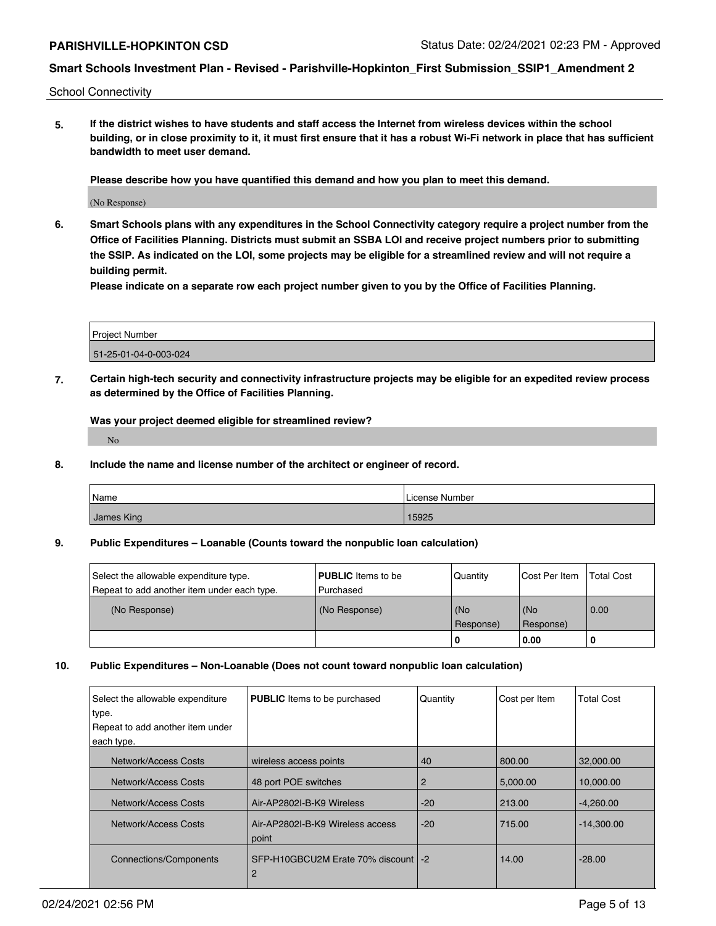School Connectivity

**5. If the district wishes to have students and staff access the Internet from wireless devices within the school building, or in close proximity to it, it must first ensure that it has a robust Wi-Fi network in place that has sufficient bandwidth to meet user demand.**

**Please describe how you have quantified this demand and how you plan to meet this demand.**

(No Response)

**6. Smart Schools plans with any expenditures in the School Connectivity category require a project number from the Office of Facilities Planning. Districts must submit an SSBA LOI and receive project numbers prior to submitting the SSIP. As indicated on the LOI, some projects may be eligible for a streamlined review and will not require a building permit.**

**Please indicate on a separate row each project number given to you by the Office of Facilities Planning.**

| <b>Project Number</b> |  |
|-----------------------|--|
| 51-25-01-04-0-003-024 |  |

**7. Certain high-tech security and connectivity infrastructure projects may be eligible for an expedited review process as determined by the Office of Facilities Planning.**

**Was your project deemed eligible for streamlined review?**

No

**8. Include the name and license number of the architect or engineer of record.**

| Name       | License Number |
|------------|----------------|
| James King | 15925          |

#### **9. Public Expenditures – Loanable (Counts toward the nonpublic loan calculation)**

| Select the allowable expenditure type.      | <b>PUBLIC</b> Items to be | Quantity         | lCost Per Item   | Total Cost |
|---------------------------------------------|---------------------------|------------------|------------------|------------|
| Repeat to add another item under each type. | l Purchased               |                  |                  |            |
| (No Response)                               | (No Response)             | (No<br>Response) | (No<br>Response) | 0.00       |
|                                             |                           | -0               | 0.00             | 1 O        |

## **10. Public Expenditures – Non-Loanable (Does not count toward nonpublic loan calculation)**

| Select the allowable expenditure<br>type. | <b>PUBLIC</b> Items to be purchased        | Quantity | Cost per Item | <b>Total Cost</b> |
|-------------------------------------------|--------------------------------------------|----------|---------------|-------------------|
| Repeat to add another item under          |                                            |          |               |                   |
| each type.                                |                                            |          |               |                   |
| Network/Access Costs                      | wireless access points                     | 40       | 800.00        | 32,000.00         |
| Network/Access Costs                      | 48 port POE switches                       | 2        | 5,000.00      | 10,000.00         |
| Network/Access Costs                      | Air-AP2802I-B-K9 Wireless                  | $-20$    | 213.00        | $-4,260.00$       |
| Network/Access Costs                      | Air-AP2802I-B-K9 Wireless access<br>point  | $-20$    | 715.00        | $-14,300.00$      |
| Connections/Components                    | SFP-H10GBCU2M Erate 70% discount   -2<br>2 |          | 14.00         | $-28.00$          |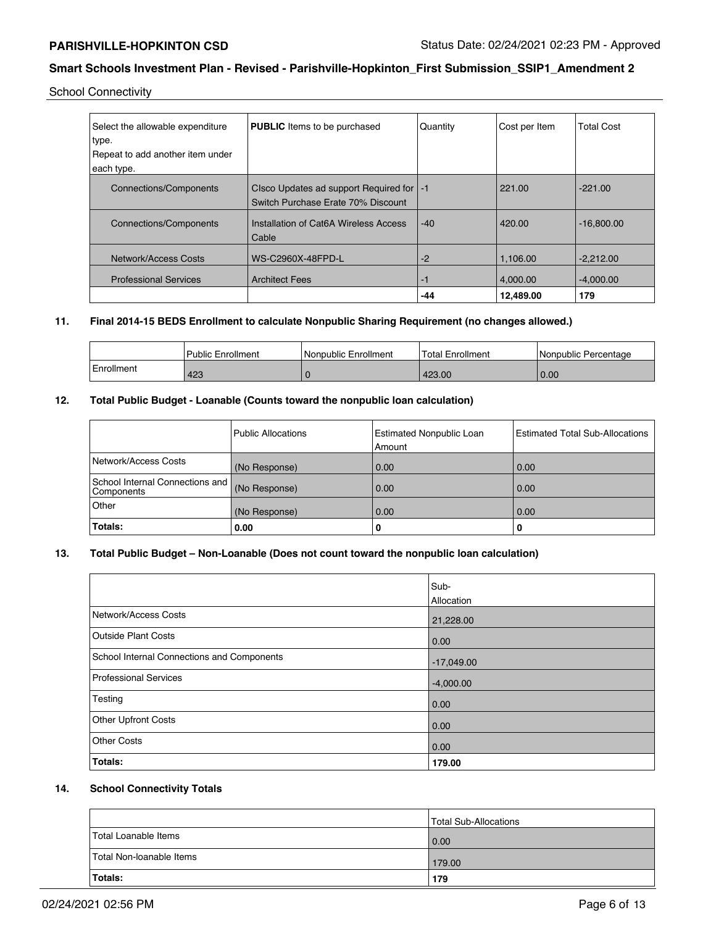School Connectivity

| Select the allowable expenditure | <b>PUBLIC</b> Items to be purchased                                              | Quantity | Cost per Item | <b>Total Cost</b> |
|----------------------------------|----------------------------------------------------------------------------------|----------|---------------|-------------------|
| type.                            |                                                                                  |          |               |                   |
| Repeat to add another item under |                                                                                  |          |               |                   |
| each type.                       |                                                                                  |          |               |                   |
| <b>Connections/Components</b>    | Clsco Updates ad support Required for   -1<br>Switch Purchase Erate 70% Discount |          | 221.00        | $-221.00$         |
| <b>Connections/Components</b>    | Installation of Cat6A Wireless Access<br>Cable                                   | $-40$    | 420.00        | $-16.800.00$      |
| Network/Access Costs             | WS-C2960X-48FPD-L                                                                | $-2$     | 1.106.00      | $-2,212.00$       |
| <b>Professional Services</b>     | <b>Architect Fees</b>                                                            | $-1$     | 4.000.00      | $-4.000.00$       |
|                                  |                                                                                  | -44      | 12,489.00     | 179               |

# **11. Final 2014-15 BEDS Enrollment to calculate Nonpublic Sharing Requirement (no changes allowed.)**

|            | <b>Public Enrollment</b> | Nonpublic Enrollment | <b>Total Enrollment</b> | l Nonpublic Percentage |
|------------|--------------------------|----------------------|-------------------------|------------------------|
| Enrollment | 423                      |                      | 423.00                  | 0.00                   |

## **12. Total Public Budget - Loanable (Counts toward the nonpublic loan calculation)**

|                                                 | l Public Allocations | Estimated Nonpublic Loan<br>Amount | <b>Estimated Total Sub-Allocations</b> |
|-------------------------------------------------|----------------------|------------------------------------|----------------------------------------|
| Network/Access Costs                            | (No Response)        | 0.00                               | 0.00                                   |
| School Internal Connections and  <br>Components | (No Response)        | 0.00                               | 0.00                                   |
| Other                                           | (No Response)        | 0.00                               | 0.00                                   |
| Totals:                                         | 0.00                 |                                    | 0                                      |

# **13. Total Public Budget – Non-Loanable (Does not count toward the nonpublic loan calculation)**

|                                            | Sub-<br>Allocation |
|--------------------------------------------|--------------------|
| Network/Access Costs                       | 21,228.00          |
| <b>Outside Plant Costs</b>                 | 0.00               |
| School Internal Connections and Components | $-17,049.00$       |
| Professional Services                      | $-4,000.00$        |
| Testing                                    | 0.00               |
| <b>Other Upfront Costs</b>                 | 0.00               |
| <b>Other Costs</b>                         | 0.00               |
| Totals:                                    | 179.00             |

# **14. School Connectivity Totals**

|                          | Total Sub-Allocations |
|--------------------------|-----------------------|
| Total Loanable Items     | 0.00                  |
| Total Non-Ioanable Items | 179.00                |
| Totals:                  | 179                   |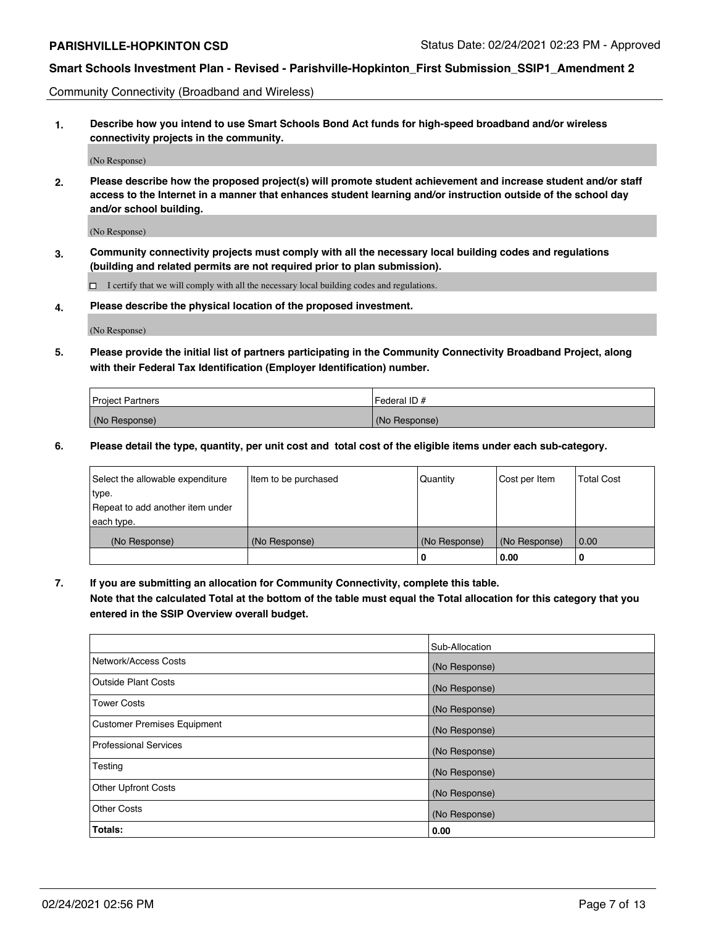Community Connectivity (Broadband and Wireless)

**1. Describe how you intend to use Smart Schools Bond Act funds for high-speed broadband and/or wireless connectivity projects in the community.**

(No Response)

**2. Please describe how the proposed project(s) will promote student achievement and increase student and/or staff access to the Internet in a manner that enhances student learning and/or instruction outside of the school day and/or school building.**

(No Response)

**3. Community connectivity projects must comply with all the necessary local building codes and regulations (building and related permits are not required prior to plan submission).**

 $\Box$  I certify that we will comply with all the necessary local building codes and regulations.

**4. Please describe the physical location of the proposed investment.**

(No Response)

**5. Please provide the initial list of partners participating in the Community Connectivity Broadband Project, along with their Federal Tax Identification (Employer Identification) number.**

| <b>Project Partners</b> | l Federal ID # |
|-------------------------|----------------|
| (No Response)           | (No Response)  |

**6. Please detail the type, quantity, per unit cost and total cost of the eligible items under each sub-category.**

| Select the allowable expenditure | Item to be purchased | Quantity      | Cost per Item | <b>Total Cost</b> |
|----------------------------------|----------------------|---------------|---------------|-------------------|
| type.                            |                      |               |               |                   |
| Repeat to add another item under |                      |               |               |                   |
| each type.                       |                      |               |               |                   |
| (No Response)                    | (No Response)        | (No Response) | (No Response) | 0.00              |
|                                  |                      | o             | 0.00          | 0                 |

**7. If you are submitting an allocation for Community Connectivity, complete this table.**

**Note that the calculated Total at the bottom of the table must equal the Total allocation for this category that you entered in the SSIP Overview overall budget.**

|                                    | Sub-Allocation |
|------------------------------------|----------------|
| Network/Access Costs               | (No Response)  |
| Outside Plant Costs                | (No Response)  |
| <b>Tower Costs</b>                 | (No Response)  |
| <b>Customer Premises Equipment</b> | (No Response)  |
| <b>Professional Services</b>       | (No Response)  |
| Testing                            | (No Response)  |
| <b>Other Upfront Costs</b>         | (No Response)  |
| <b>Other Costs</b>                 | (No Response)  |
| Totals:                            | 0.00           |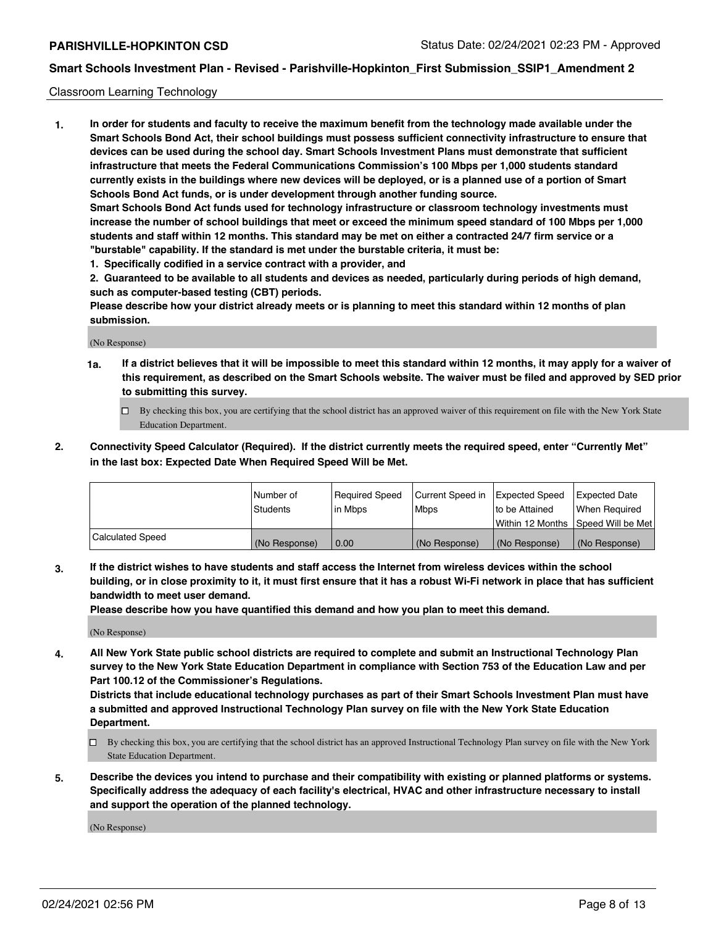#### Classroom Learning Technology

**1. In order for students and faculty to receive the maximum benefit from the technology made available under the Smart Schools Bond Act, their school buildings must possess sufficient connectivity infrastructure to ensure that devices can be used during the school day. Smart Schools Investment Plans must demonstrate that sufficient infrastructure that meets the Federal Communications Commission's 100 Mbps per 1,000 students standard currently exists in the buildings where new devices will be deployed, or is a planned use of a portion of Smart Schools Bond Act funds, or is under development through another funding source. Smart Schools Bond Act funds used for technology infrastructure or classroom technology investments must increase the number of school buildings that meet or exceed the minimum speed standard of 100 Mbps per 1,000 students and staff within 12 months. This standard may be met on either a contracted 24/7 firm service or a "burstable" capability. If the standard is met under the burstable criteria, it must be:**

**1. Specifically codified in a service contract with a provider, and**

**2. Guaranteed to be available to all students and devices as needed, particularly during periods of high demand, such as computer-based testing (CBT) periods.**

**Please describe how your district already meets or is planning to meet this standard within 12 months of plan submission.**

(No Response)

- **1a. If a district believes that it will be impossible to meet this standard within 12 months, it may apply for a waiver of this requirement, as described on the Smart Schools website. The waiver must be filed and approved by SED prior to submitting this survey.**
	- By checking this box, you are certifying that the school district has an approved waiver of this requirement on file with the New York State Education Department.
- **2. Connectivity Speed Calculator (Required). If the district currently meets the required speed, enter "Currently Met" in the last box: Expected Date When Required Speed Will be Met.**

|                  | l Number of   | Required Speed | Current Speed in | <b>Expected Speed</b> | <b>Expected Date</b>                |
|------------------|---------------|----------------|------------------|-----------------------|-------------------------------------|
|                  | Students      | l in Mbps      | l Mbps           | to be Attained        | When Required                       |
|                  |               |                |                  |                       | Within 12 Months  Speed Will be Met |
| Calculated Speed | (No Response) | 0.00           | (No Response)    | (No Response)         | (No Response)                       |

**3. If the district wishes to have students and staff access the Internet from wireless devices within the school building, or in close proximity to it, it must first ensure that it has a robust Wi-Fi network in place that has sufficient bandwidth to meet user demand.**

**Please describe how you have quantified this demand and how you plan to meet this demand.**

(No Response)

**4. All New York State public school districts are required to complete and submit an Instructional Technology Plan survey to the New York State Education Department in compliance with Section 753 of the Education Law and per Part 100.12 of the Commissioner's Regulations.**

**Districts that include educational technology purchases as part of their Smart Schools Investment Plan must have a submitted and approved Instructional Technology Plan survey on file with the New York State Education Department.**

- By checking this box, you are certifying that the school district has an approved Instructional Technology Plan survey on file with the New York State Education Department.
- **5. Describe the devices you intend to purchase and their compatibility with existing or planned platforms or systems. Specifically address the adequacy of each facility's electrical, HVAC and other infrastructure necessary to install and support the operation of the planned technology.**

(No Response)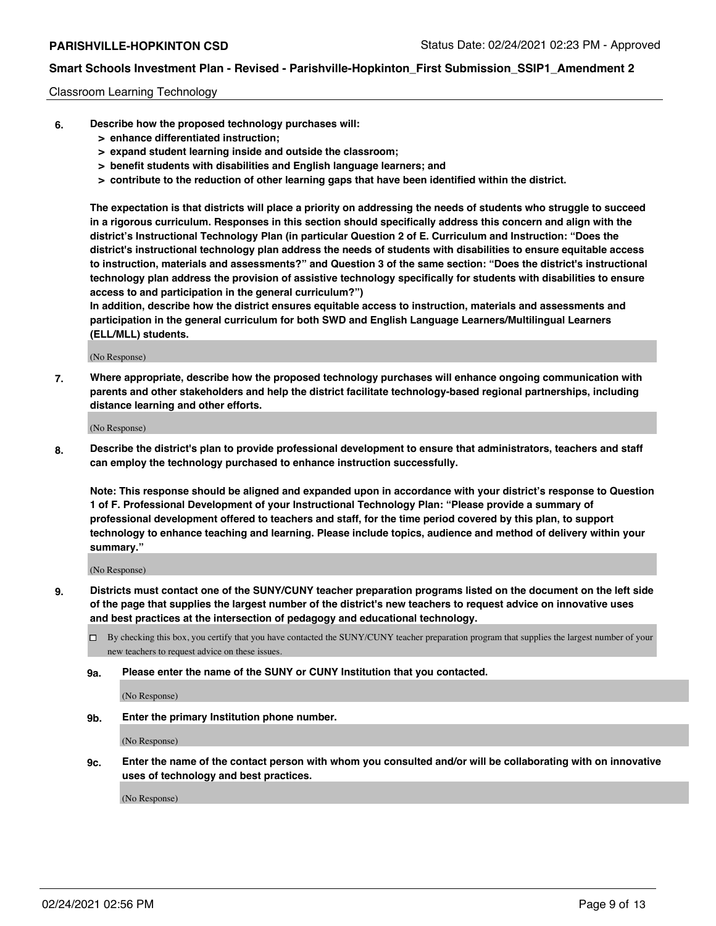#### Classroom Learning Technology

- **6. Describe how the proposed technology purchases will:**
	- **> enhance differentiated instruction;**
	- **> expand student learning inside and outside the classroom;**
	- **> benefit students with disabilities and English language learners; and**
	- **> contribute to the reduction of other learning gaps that have been identified within the district.**

**The expectation is that districts will place a priority on addressing the needs of students who struggle to succeed in a rigorous curriculum. Responses in this section should specifically address this concern and align with the district's Instructional Technology Plan (in particular Question 2 of E. Curriculum and Instruction: "Does the district's instructional technology plan address the needs of students with disabilities to ensure equitable access to instruction, materials and assessments?" and Question 3 of the same section: "Does the district's instructional technology plan address the provision of assistive technology specifically for students with disabilities to ensure access to and participation in the general curriculum?")**

**In addition, describe how the district ensures equitable access to instruction, materials and assessments and participation in the general curriculum for both SWD and English Language Learners/Multilingual Learners (ELL/MLL) students.**

(No Response)

**7. Where appropriate, describe how the proposed technology purchases will enhance ongoing communication with parents and other stakeholders and help the district facilitate technology-based regional partnerships, including distance learning and other efforts.**

(No Response)

**8. Describe the district's plan to provide professional development to ensure that administrators, teachers and staff can employ the technology purchased to enhance instruction successfully.**

**Note: This response should be aligned and expanded upon in accordance with your district's response to Question 1 of F. Professional Development of your Instructional Technology Plan: "Please provide a summary of professional development offered to teachers and staff, for the time period covered by this plan, to support technology to enhance teaching and learning. Please include topics, audience and method of delivery within your summary."**

(No Response)

- **9. Districts must contact one of the SUNY/CUNY teacher preparation programs listed on the document on the left side of the page that supplies the largest number of the district's new teachers to request advice on innovative uses and best practices at the intersection of pedagogy and educational technology.**
	- By checking this box, you certify that you have contacted the SUNY/CUNY teacher preparation program that supplies the largest number of your new teachers to request advice on these issues.
	- **9a. Please enter the name of the SUNY or CUNY Institution that you contacted.**

(No Response)

**9b. Enter the primary Institution phone number.**

(No Response)

**9c. Enter the name of the contact person with whom you consulted and/or will be collaborating with on innovative uses of technology and best practices.**

(No Response)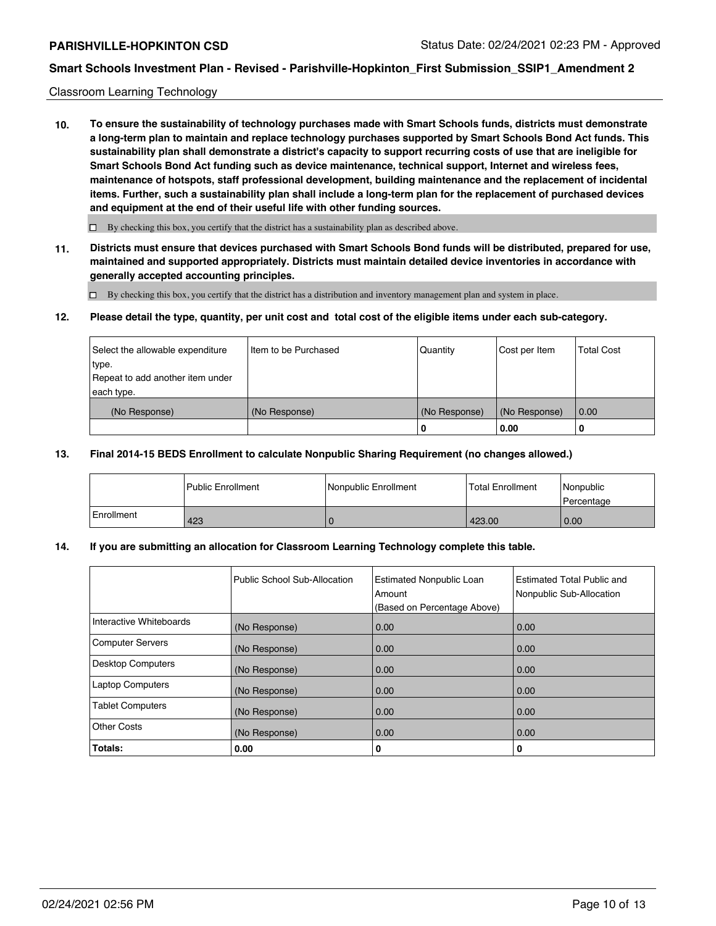#### Classroom Learning Technology

**10. To ensure the sustainability of technology purchases made with Smart Schools funds, districts must demonstrate a long-term plan to maintain and replace technology purchases supported by Smart Schools Bond Act funds. This sustainability plan shall demonstrate a district's capacity to support recurring costs of use that are ineligible for Smart Schools Bond Act funding such as device maintenance, technical support, Internet and wireless fees, maintenance of hotspots, staff professional development, building maintenance and the replacement of incidental items. Further, such a sustainability plan shall include a long-term plan for the replacement of purchased devices and equipment at the end of their useful life with other funding sources.**

 $\square$  By checking this box, you certify that the district has a sustainability plan as described above.

**11. Districts must ensure that devices purchased with Smart Schools Bond funds will be distributed, prepared for use, maintained and supported appropriately. Districts must maintain detailed device inventories in accordance with generally accepted accounting principles.**

By checking this box, you certify that the district has a distribution and inventory management plan and system in place.

#### **12. Please detail the type, quantity, per unit cost and total cost of the eligible items under each sub-category.**

| Select the allowable expenditure<br>type.<br>Repeat to add another item under<br>each type. | Item to be Purchased | Quantity           | Cost per Item         | <b>Total Cost</b> |
|---------------------------------------------------------------------------------------------|----------------------|--------------------|-----------------------|-------------------|
| (No Response)                                                                               | (No Response)        | (No Response)<br>0 | (No Response)<br>0.00 | 0.00              |

#### **13. Final 2014-15 BEDS Enrollment to calculate Nonpublic Sharing Requirement (no changes allowed.)**

|            | <b>Public Enrollment</b> | Nonpublic Enrollment | <b>Total Enrollment</b> | Nonpublic<br>l Percentage |
|------------|--------------------------|----------------------|-------------------------|---------------------------|
| Enrollment | 423                      |                      | 423.00                  | 0.00                      |

### **14. If you are submitting an allocation for Classroom Learning Technology complete this table.**

|                          | Public School Sub-Allocation | <b>Estimated Nonpublic Loan</b><br>Amount<br>(Based on Percentage Above) | <b>Estimated Total Public and</b><br>Nonpublic Sub-Allocation |
|--------------------------|------------------------------|--------------------------------------------------------------------------|---------------------------------------------------------------|
| Interactive Whiteboards  | (No Response)                | 0.00                                                                     | 0.00                                                          |
| <b>Computer Servers</b>  | (No Response)                | 0.00                                                                     | 0.00                                                          |
| <b>Desktop Computers</b> | (No Response)                | 0.00                                                                     | 0.00                                                          |
| <b>Laptop Computers</b>  | (No Response)                | 0.00                                                                     | 0.00                                                          |
| <b>Tablet Computers</b>  | (No Response)                | 0.00                                                                     | 0.00                                                          |
| <b>Other Costs</b>       | (No Response)                | 0.00                                                                     | 0.00                                                          |
| Totals:                  | 0.00                         | 0                                                                        | 0                                                             |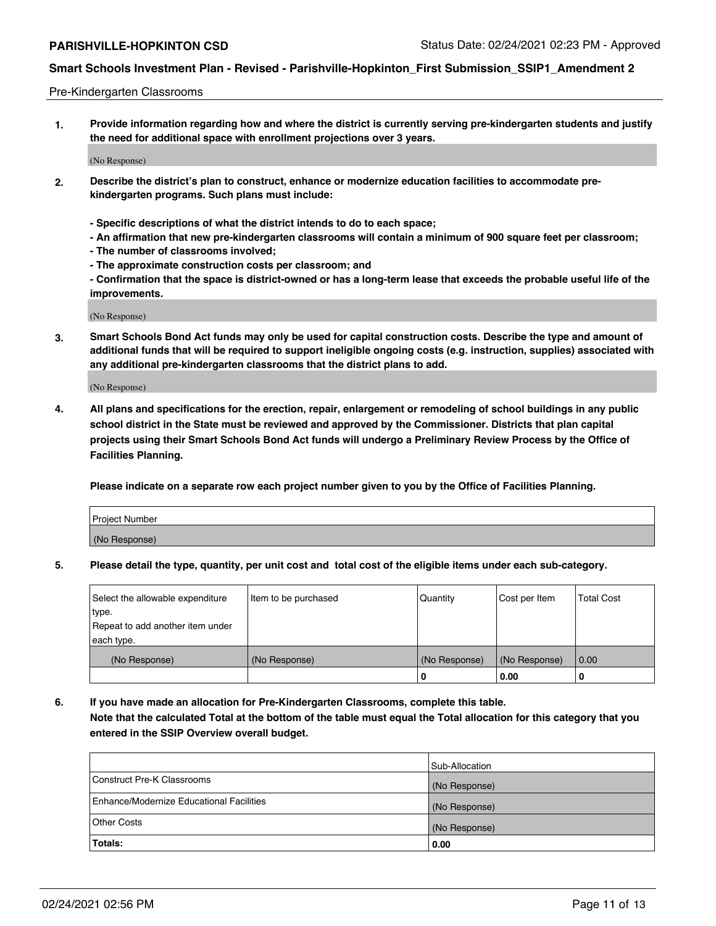### Pre-Kindergarten Classrooms

**1. Provide information regarding how and where the district is currently serving pre-kindergarten students and justify the need for additional space with enrollment projections over 3 years.**

(No Response)

- **2. Describe the district's plan to construct, enhance or modernize education facilities to accommodate prekindergarten programs. Such plans must include:**
	- **Specific descriptions of what the district intends to do to each space;**
	- **An affirmation that new pre-kindergarten classrooms will contain a minimum of 900 square feet per classroom;**
	- **The number of classrooms involved;**
	- **The approximate construction costs per classroom; and**
	- **Confirmation that the space is district-owned or has a long-term lease that exceeds the probable useful life of the improvements.**

(No Response)

**3. Smart Schools Bond Act funds may only be used for capital construction costs. Describe the type and amount of additional funds that will be required to support ineligible ongoing costs (e.g. instruction, supplies) associated with any additional pre-kindergarten classrooms that the district plans to add.**

(No Response)

**4. All plans and specifications for the erection, repair, enlargement or remodeling of school buildings in any public school district in the State must be reviewed and approved by the Commissioner. Districts that plan capital projects using their Smart Schools Bond Act funds will undergo a Preliminary Review Process by the Office of Facilities Planning.**

**Please indicate on a separate row each project number given to you by the Office of Facilities Planning.**

| Project Number |  |
|----------------|--|
| (No Response)  |  |
|                |  |

**5. Please detail the type, quantity, per unit cost and total cost of the eligible items under each sub-category.**

| Select the allowable expenditure | Item to be purchased | Quantity      | Cost per Item | <b>Total Cost</b> |
|----------------------------------|----------------------|---------------|---------------|-------------------|
| type.                            |                      |               |               |                   |
| Repeat to add another item under |                      |               |               |                   |
| each type.                       |                      |               |               |                   |
| (No Response)                    | (No Response)        | (No Response) | (No Response) | 0.00              |
|                                  |                      | υ             | 0.00          |                   |

**6. If you have made an allocation for Pre-Kindergarten Classrooms, complete this table. Note that the calculated Total at the bottom of the table must equal the Total allocation for this category that you entered in the SSIP Overview overall budget.**

|                                          | Sub-Allocation |
|------------------------------------------|----------------|
| Construct Pre-K Classrooms               | (No Response)  |
| Enhance/Modernize Educational Facilities | (No Response)  |
| <b>Other Costs</b>                       | (No Response)  |
| Totals:                                  | 0.00           |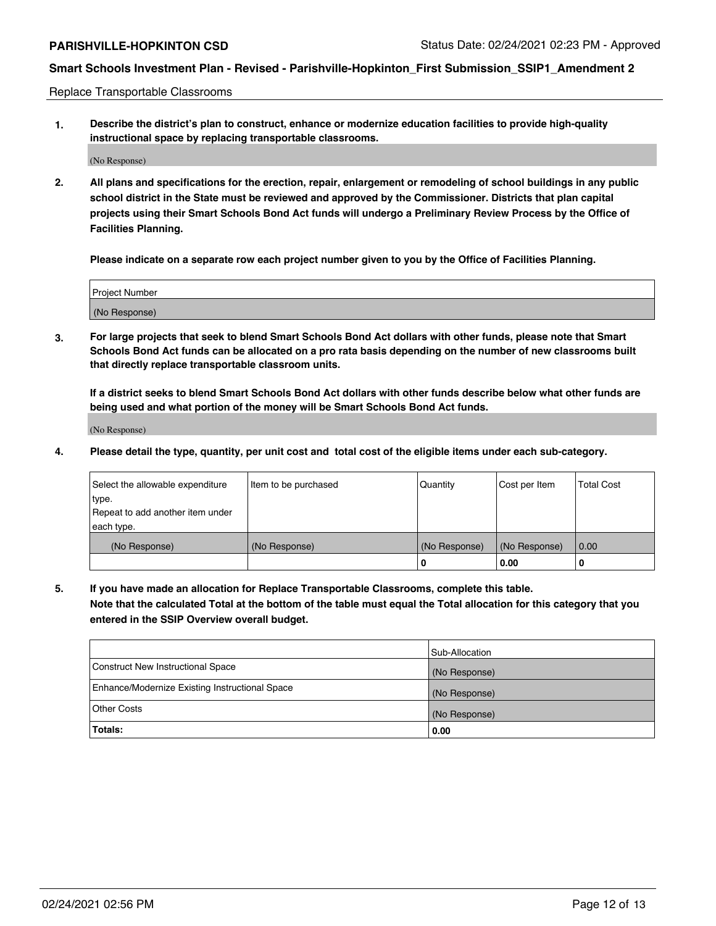Replace Transportable Classrooms

**1. Describe the district's plan to construct, enhance or modernize education facilities to provide high-quality instructional space by replacing transportable classrooms.**

(No Response)

**2. All plans and specifications for the erection, repair, enlargement or remodeling of school buildings in any public school district in the State must be reviewed and approved by the Commissioner. Districts that plan capital projects using their Smart Schools Bond Act funds will undergo a Preliminary Review Process by the Office of Facilities Planning.**

**Please indicate on a separate row each project number given to you by the Office of Facilities Planning.**

| Project Number |  |
|----------------|--|
|                |  |
|                |  |
| (No Response)  |  |
|                |  |

**3. For large projects that seek to blend Smart Schools Bond Act dollars with other funds, please note that Smart Schools Bond Act funds can be allocated on a pro rata basis depending on the number of new classrooms built that directly replace transportable classroom units.**

**If a district seeks to blend Smart Schools Bond Act dollars with other funds describe below what other funds are being used and what portion of the money will be Smart Schools Bond Act funds.**

(No Response)

**4. Please detail the type, quantity, per unit cost and total cost of the eligible items under each sub-category.**

| Select the allowable expenditure | Item to be purchased | Quantity      | Cost per Item | <b>Total Cost</b> |
|----------------------------------|----------------------|---------------|---------------|-------------------|
| ∣type.                           |                      |               |               |                   |
| Repeat to add another item under |                      |               |               |                   |
| each type.                       |                      |               |               |                   |
| (No Response)                    | (No Response)        | (No Response) | (No Response) | 0.00              |
|                                  |                      | u             | 0.00          | -0                |

**5. If you have made an allocation for Replace Transportable Classrooms, complete this table. Note that the calculated Total at the bottom of the table must equal the Total allocation for this category that you entered in the SSIP Overview overall budget.**

|                                                | Sub-Allocation |
|------------------------------------------------|----------------|
| Construct New Instructional Space              | (No Response)  |
| Enhance/Modernize Existing Instructional Space | (No Response)  |
| Other Costs                                    | (No Response)  |
| Totals:                                        | 0.00           |